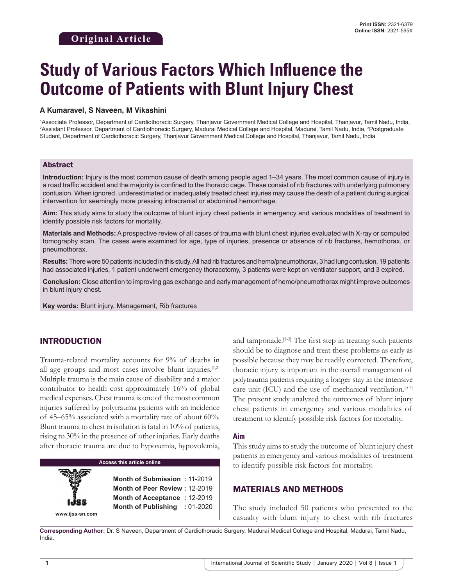# **Study of Various Factors Which Influence the Outcome of Patients with Blunt Injury Chest**

#### **A Kumaravel, S Naveen, M Vikashini**

1 Associate Professor, Department of Cardiothoracic Surgery, Thanjavur Government Medical College and Hospital, Thanjavur, Tamil Nadu, India, 2 Assistant Professor, Department of Cardiothoracic Surgery, Madurai Medical College and Hospital, Madurai, Tamil Nadu, India, 3 Postgraduate Student, Department of Cardiothoracic Surgery, Thanjavur Government Medical College and Hospital, Thanjavur, Tamil Nadu, India

#### Abstract

**Introduction:** Injury is the most common cause of death among people aged 1–34 years. The most common cause of injury is a road traffic accident and the majority is confined to the thoracic cage. These consist of rib fractures with underlying pulmonary contusion. When ignored, underestimated or inadequately treated chest injuries may cause the death of a patient during surgical intervention for seemingly more pressing intracranial or abdominal hemorrhage.

**Aim:** This study aims to study the outcome of blunt injury chest patients in emergency and various modalities of treatment to identify possible risk factors for mortality.

**Materials and Methods:** A prospective review of all cases of trauma with blunt chest injuries evaluated with X-ray or computed tomography scan. The cases were examined for age, type of injuries, presence or absence of rib fractures, hemothorax, or pneumothorax.

**Results:** There were 50 patients included in this study. All had rib fractures and hemo/pneumothorax, 3 had lung contusion, 19 patients had associated injuries, 1 patient underwent emergency thoracotomy, 3 patients were kept on ventilator support, and 3 expired.

**Conclusion:** Close attention to improving gas exchange and early management of hemo/pneumothorax might improve outcomes in blunt injury chest.

**Key words:** Blunt injury, Management, Rib fractures

## INTRODUCTION

**www.ijss-sn.com**

Trauma-related mortality accounts for 9% of deaths in all age groups and most cases involve blunt injuries.<sup>[1,2]</sup> Multiple trauma is the main cause of disability and a major contributor to health cost approximately 16% of global medical expenses. Chest trauma is one of the most common injuries suffered by polytrauma patients with an incidence of 45–65% associated with a mortality rate of about 60%. Blunt trauma to chest in isolation is fatal in 10% of patients, rising to 30% in the presence of other injuries. Early deaths after thoracic trauma are due to hypoxemia, hypovolemia,

## **Access this article online**

**Month of Submission :** 11-2019 **Month of Peer Review :** 12-2019 **Month of Acceptance :** 12-2019 **Month of Publishing :** 01-2020 and tamponade.<sup>[1-3]</sup> The first step in treating such patients should be to diagnose and treat these problems as early as possible because they may be readily corrected. Therefore, thoracic injury is important in the overall management of polytrauma patients requiring a longer stay in the intensive care unit (ICU) and the use of mechanical ventilation.<sup>[3-7]</sup> The present study analyzed the outcomes of blunt injury chest patients in emergency and various modalities of treatment to identify possible risk factors for mortality.

#### **Aim**

This study aims to study the outcome of blunt injury chest patients in emergency and various modalities of treatment to identify possible risk factors for mortality.

#### MATERIALS AND METHODS

The study included 50 patients who presented to the casualty with blunt injury to chest with rib fractures

**Corresponding Author:** Dr. S Naveen, Department of Cardiothoracic Surgery, Madurai Medical College and Hospital, Madurai, Tamil Nadu, India.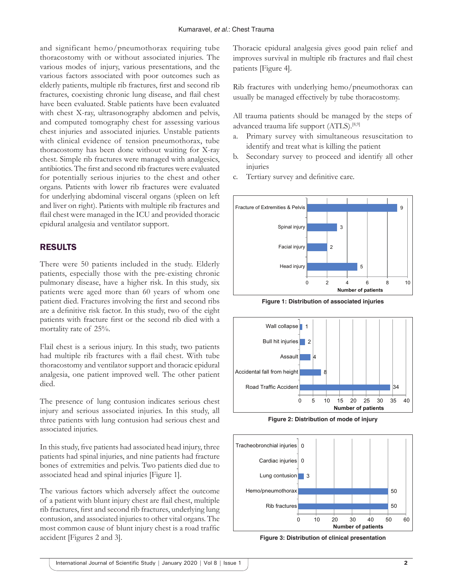and significant hemo/pneumothorax requiring tube thoracostomy with or without associated injuries. The various modes of injury, various presentations, and the various factors associated with poor outcomes such as elderly patients, multiple rib fractures, first and second rib fractures, coexisting chronic lung disease, and flail chest have been evaluated. Stable patients have been evaluated with chest X-ray, ultrasonography abdomen and pelvis, and computed tomography chest for assessing various chest injuries and associated injuries. Unstable patients with clinical evidence of tension pneumothorax, tube thoracostomy has been done without waiting for X-ray chest. Simple rib fractures were managed with analgesics, antibiotics. The first and second rib fractures were evaluated for potentially serious injuries to the chest and other organs. Patients with lower rib fractures were evaluated for underlying abdominal visceral organs (spleen on left and liver on right). Patients with multiple rib fractures and flail chest were managed in the ICU and provided thoracic epidural analgesia and ventilator support.

# RESULTS

There were 50 patients included in the study. Elderly patients, especially those with the pre-existing chronic pulmonary disease, have a higher risk. In this study, six patients were aged more than 60 years of whom one patient died. Fractures involving the first and second ribs are a definitive risk factor. In this study, two of the eight patients with fracture first or the second rib died with a mortality rate of 25%.

Flail chest is a serious injury. In this study, two patients had multiple rib fractures with a flail chest. With tube thoracostomy and ventilator support and thoracic epidural analgesia, one patient improved well. The other patient died.

The presence of lung contusion indicates serious chest injury and serious associated injuries. In this study, all three patients with lung contusion had serious chest and associated injuries.

In this study, five patients had associated head injury, three patients had spinal injuries, and nine patients had fracture bones of extremities and pelvis. Two patients died due to associated head and spinal injuries [Figure 1].

The various factors which adversely affect the outcome of a patient with blunt injury chest are flail chest, multiple rib fractures, first and second rib fractures, underlying lung contusion, and associated injuries to other vital organs. The most common cause of blunt injury chest is a road traffic accident [Figures 2 and 3].

Thoracic epidural analgesia gives good pain relief and improves survival in multiple rib fractures and flail chest patients [Figure 4].

Rib fractures with underlying hemo/pneumothorax can usually be managed effectively by tube thoracostomy.

All trauma patients should be managed by the steps of advanced trauma life support (ATLS).<sup>[8,9]</sup>

- a. Primary survey with simultaneous resuscitation to identify and treat what is killing the patient
- b. Secondary survey to proceed and identify all other injuries
- Tertiary survey and definitive care.



**Figure 1: Distribution of associated injuries**



**Figure 2: Distribution of mode of injury**



**Figure 3: Distribution of clinical presentation**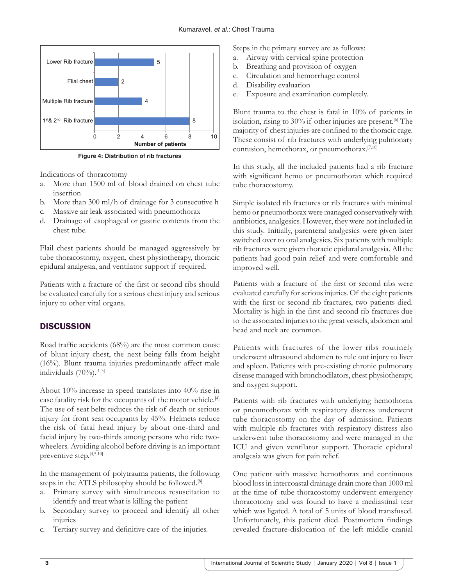

**Figure 4: Distribution of rib fractures**

Indications of thoracotomy

- a. More than 1500 ml of blood drained on chest tube insertion
- b. More than 300 ml/h of drainage for 3 consecutive h
- c. Massive air leak associated with pneumothorax
- d. Drainage of esophageal or gastric contents from the chest tube.

Flail chest patients should be managed aggressively by tube thoracostomy, oxygen, chest physiotherapy, thoracic epidural analgesia, and ventilator support if required.

Patients with a fracture of the first or second ribs should be evaluated carefully for a serious chest injury and serious injury to other vital organs.

# **DISCUSSION**

Road traffic accidents (68%) are the most common cause of blunt injury chest, the next being falls from height (16%). Blunt trauma injuries predominantly affect male individuals  $(70\%)$ .<sup>[1-3]</sup>

About 10% increase in speed translates into 40% rise in case fatality risk for the occupants of the motor vehicle.[4] The use of seat belts reduces the risk of death or serious injury for front seat occupants by 45%. Helmets reduce the risk of fatal head injury by about one-third and facial injury by two-thirds among persons who ride twowheelers. Avoiding alcohol before driving is an important preventive step.[4,5,10]

In the management of polytrauma patients, the following steps in the ATLS philosophy should be followed.[8]

- a. Primary survey with simultaneous resuscitation to identify and treat what is killing the patient
- b. Secondary survey to proceed and identify all other injuries
- c. Tertiary survey and definitive care of the injuries.

Steps in the primary survey are as follows:

- a. Airway with cervical spine protection
- b. Breathing and provision of oxygen
- c. Circulation and hemorrhage control
- d. Disability evaluation
- e. Exposure and examination completely.

Blunt trauma to the chest is fatal in 10% of patients in isolation, rising to 30% if other injuries are present.<sup>[6]</sup> The majority of chest injuries are confined to the thoracic cage. These consist of rib fractures with underlying pulmonary contusion, hemothorax, or pneumothorax.[7,10]

In this study, all the included patients had a rib fracture with significant hemo or pneumothorax which required tube thoracostomy.

Simple isolated rib fractures or rib fractures with minimal hemo or pneumothorax were managed conservatively with antibiotics, analgesics. However, they were not included in this study. Initially, parenteral analgesics were given later switched over to oral analgesics. Six patients with multiple rib fractures were given thoracic epidural analgesia. All the patients had good pain relief and were comfortable and improved well.

Patients with a fracture of the first or second ribs were evaluated carefully for serious injuries. Of the eight patients with the first or second rib fractures, two patients died. Mortality is high in the first and second rib fractures due to the associated injuries to the great vessels, abdomen and head and neck are common.

Patients with fractures of the lower ribs routinely underwent ultrasound abdomen to rule out injury to liver and spleen. Patients with pre-existing chronic pulmonary disease managed with bronchodilators, chest physiotherapy, and oxygen support.

Patients with rib fractures with underlying hemothorax or pneumothorax with respiratory distress underwent tube thoracostomy on the day of admission. Patients with multiple rib fractures with respiratory distress also underwent tube thoracostomy and were managed in the ICU and given ventilator support. Thoracic epidural analgesia was given for pain relief.

One patient with massive hemothorax and continuous blood loss in intercoastal drainage drain more than 1000 ml at the time of tube thoracostomy underwent emergency thoracotomy and was found to have a mediastinal tear which was ligated. A total of 5 units of blood transfused. Unfortunately, this patient died. Postmortem findings revealed fracture-dislocation of the left middle cranial